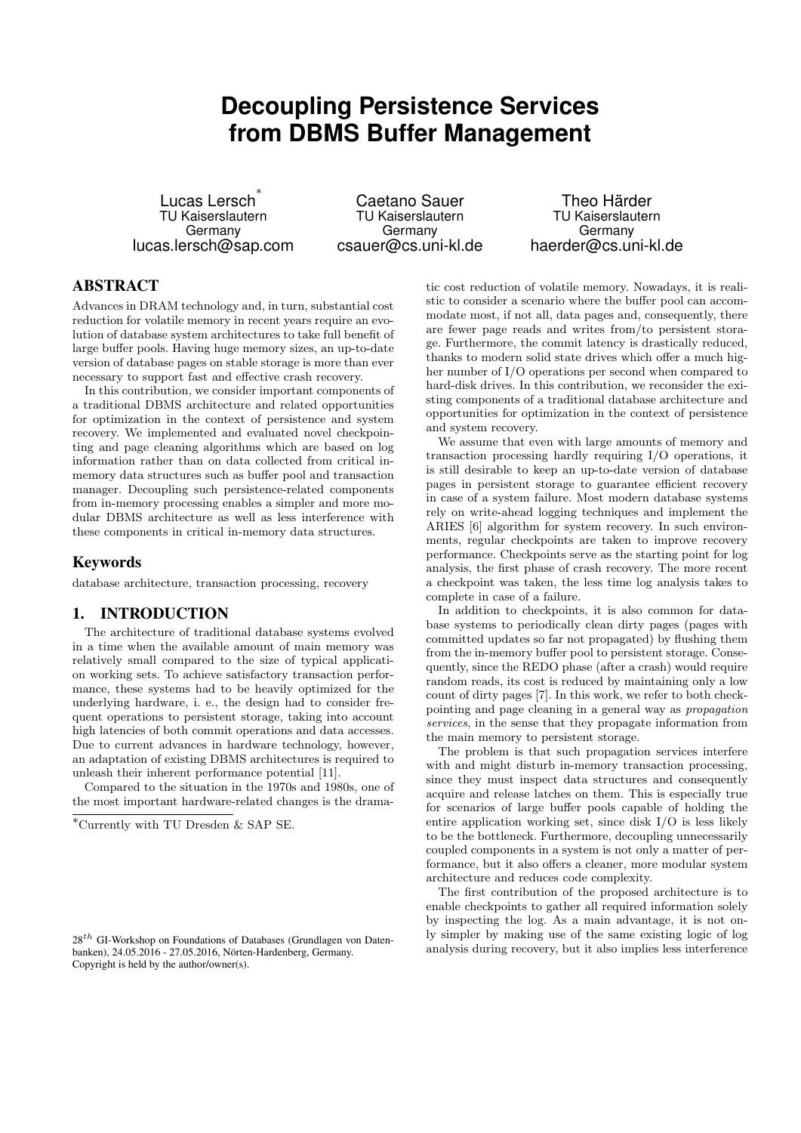# **Decoupling Persistence Services from DBMS Buffer Management**

Lucas Lersch ∗ TU Kaiserslautern Germany lucas.lersch@sap.com

Caetano Sauer TU Kaiserslautern Germany csauer@cs.uni-kl.de

Theo Härder TU Kaiserslautern Germany haerder@cs.uni-kl.de

# ABSTRACT

Advances in DRAM technology and, in turn, substantial cost reduction for volatile memory in recent years require an evolution of database system architectures to take full benefit of large buffer pools. Having huge memory sizes, an up-to-date version of database pages on stable storage is more than ever necessary to support fast and effective crash recovery.

In this contribution, we consider important components of a traditional DBMS architecture and related opportunities for optimization in the context of persistence and system recovery. We implemented and evaluated novel checkpointing and page cleaning algorithms which are based on log information rather than on data collected from critical inmemory data structures such as buffer pool and transaction manager. Decoupling such persistence-related components from in-memory processing enables a simpler and more modular DBMS architecture as well as less interference with these components in critical in-memory data structures.

# Keywords

database architecture, transaction processing, recovery

# 1. INTRODUCTION

The architecture of traditional database systems evolved in a time when the available amount of main memory was relatively small compared to the size of typical application working sets. To achieve satisfactory transaction performance, these systems had to be heavily optimized for the underlying hardware, i. e., the design had to consider frequent operations to persistent storage, taking into account high latencies of both commit operations and data accesses. Due to current advances in hardware technology, however, an adaptation of existing DBMS architectures is required to unleash their inherent performance potential [11].

Compared to the situation in the 1970s and 1980s, one of the most important hardware-related changes is the drama-

tic cost reduction of volatile memory. Nowadays, it is realistic to consider a scenario where the buffer pool can accommodate most, if not all, data pages and, consequently, there are fewer page reads and writes from/to persistent storage. Furthermore, the commit latency is drastically reduced, thanks to modern solid state drives which offer a much higher number of I/O operations per second when compared to hard-disk drives. In this contribution, we reconsider the existing components of a traditional database architecture and opportunities for optimization in the context of persistence and system recovery.

We assume that even with large amounts of memory and transaction processing hardly requiring I/O operations, it is still desirable to keep an up-to-date version of database pages in persistent storage to guarantee efficient recovery in case of a system failure. Most modern database systems rely on write-ahead logging techniques and implement the ARIES [6] algorithm for system recovery. In such environments, regular checkpoints are taken to improve recovery performance. Checkpoints serve as the starting point for log analysis, the first phase of crash recovery. The more recent a checkpoint was taken, the less time log analysis takes to complete in case of a failure.

In addition to checkpoints, it is also common for database systems to periodically clean dirty pages (pages with committed updates so far not propagated) by flushing them from the in-memory buffer pool to persistent storage. Consequently, since the REDO phase (after a crash) would require random reads, its cost is reduced by maintaining only a low count of dirty pages [7]. In this work, we refer to both checkpointing and page cleaning in a general way as propagation services, in the sense that they propagate information from the main memory to persistent storage.

The problem is that such propagation services interfere with and might disturb in-memory transaction processing, since they must inspect data structures and consequently acquire and release latches on them. This is especially true for scenarios of large buffer pools capable of holding the entire application working set, since disk I/O is less likely to be the bottleneck. Furthermore, decoupling unnecessarily coupled components in a system is not only a matter of performance, but it also offers a cleaner, more modular system architecture and reduces code complexity.

The first contribution of the proposed architecture is to enable checkpoints to gather all required information solely by inspecting the log. As a main advantage, it is not only simpler by making use of the same existing logic of log analysis during recovery, but it also implies less interference

<sup>∗</sup>Currently with TU Dresden & SAP SE.

 $28<sup>th</sup>$  GI-Workshop on Foundations of Databases (Grundlagen von Datenbanken), 24.05.2016 - 27.05.2016, Nörten-Hardenberg, Germany. Copyright is held by the author/owner(s).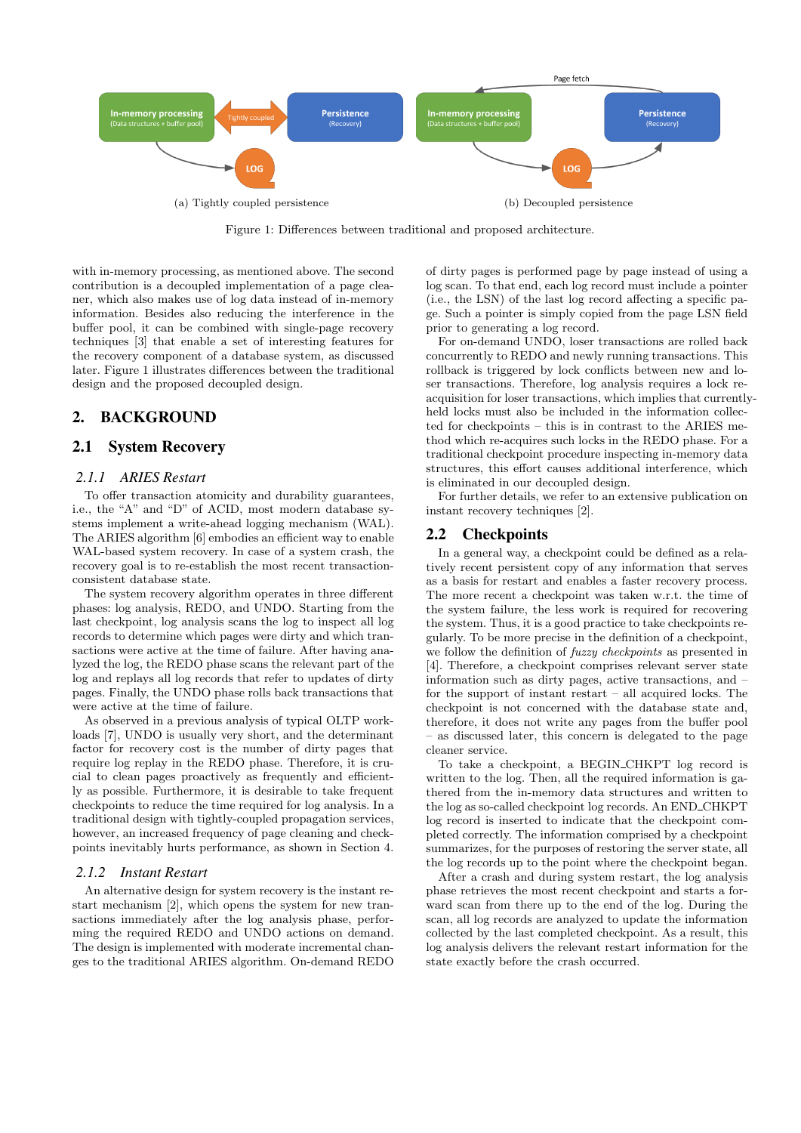

Figure 1: Differences between traditional and proposed architecture.

with in-memory processing, as mentioned above. The second contribution is a decoupled implementation of a page cleaner, which also makes use of log data instead of in-memory information. Besides also reducing the interference in the buffer pool, it can be combined with single-page recovery techniques [3] that enable a set of interesting features for the recovery component of a database system, as discussed later. Figure 1 illustrates differences between the traditional design and the proposed decoupled design.

## 2. BACKGROUND

#### 2.1 System Recovery

#### *2.1.1 ARIES Restart*

To offer transaction atomicity and durability guarantees, i.e., the "A" and "D" of ACID, most modern database systems implement a write-ahead logging mechanism (WAL). The ARIES algorithm [6] embodies an efficient way to enable WAL-based system recovery. In case of a system crash, the recovery goal is to re-establish the most recent transactionconsistent database state.

The system recovery algorithm operates in three different phases: log analysis, REDO, and UNDO. Starting from the last checkpoint, log analysis scans the log to inspect all log records to determine which pages were dirty and which transactions were active at the time of failure. After having analyzed the log, the REDO phase scans the relevant part of the log and replays all log records that refer to updates of dirty pages. Finally, the UNDO phase rolls back transactions that were active at the time of failure.

As observed in a previous analysis of typical OLTP workloads [7], UNDO is usually very short, and the determinant factor for recovery cost is the number of dirty pages that require log replay in the REDO phase. Therefore, it is crucial to clean pages proactively as frequently and efficiently as possible. Furthermore, it is desirable to take frequent checkpoints to reduce the time required for log analysis. In a traditional design with tightly-coupled propagation services, however, an increased frequency of page cleaning and checkpoints inevitably hurts performance, as shown in Section 4.

#### *2.1.2 Instant Restart*

An alternative design for system recovery is the instant restart mechanism [2], which opens the system for new transactions immediately after the log analysis phase, performing the required REDO and UNDO actions on demand. The design is implemented with moderate incremental changes to the traditional ARIES algorithm. On-demand REDO of dirty pages is performed page by page instead of using a log scan. To that end, each log record must include a pointer (i.e., the LSN) of the last log record affecting a specific page. Such a pointer is simply copied from the page LSN field prior to generating a log record.

For on-demand UNDO, loser transactions are rolled back concurrently to REDO and newly running transactions. This rollback is triggered by lock conflicts between new and loser transactions. Therefore, log analysis requires a lock reacquisition for loser transactions, which implies that currentlyheld locks must also be included in the information collected for checkpoints – this is in contrast to the ARIES method which re-acquires such locks in the REDO phase. For a traditional checkpoint procedure inspecting in-memory data structures, this effort causes additional interference, which is eliminated in our decoupled design.

For further details, we refer to an extensive publication on instant recovery techniques [2].

#### 2.2 Checkpoints

In a general way, a checkpoint could be defined as a relatively recent persistent copy of any information that serves as a basis for restart and enables a faster recovery process. The more recent a checkpoint was taken w.r.t. the time of the system failure, the less work is required for recovering the system. Thus, it is a good practice to take checkpoints regularly. To be more precise in the definition of a checkpoint, we follow the definition of *fuzzy checkpoints* as presented in [4]. Therefore, a checkpoint comprises relevant server state information such as dirty pages, active transactions, and – for the support of instant restart – all acquired locks. The checkpoint is not concerned with the database state and, therefore, it does not write any pages from the buffer pool – as discussed later, this concern is delegated to the page cleaner service.

To take a checkpoint, a BEGIN CHKPT log record is written to the log. Then, all the required information is gathered from the in-memory data structures and written to the log as so-called checkpoint log records. An END CHKPT log record is inserted to indicate that the checkpoint completed correctly. The information comprised by a checkpoint summarizes, for the purposes of restoring the server state, all the log records up to the point where the checkpoint began.

After a crash and during system restart, the log analysis phase retrieves the most recent checkpoint and starts a forward scan from there up to the end of the log. During the scan, all log records are analyzed to update the information collected by the last completed checkpoint. As a result, this log analysis delivers the relevant restart information for the state exactly before the crash occurred.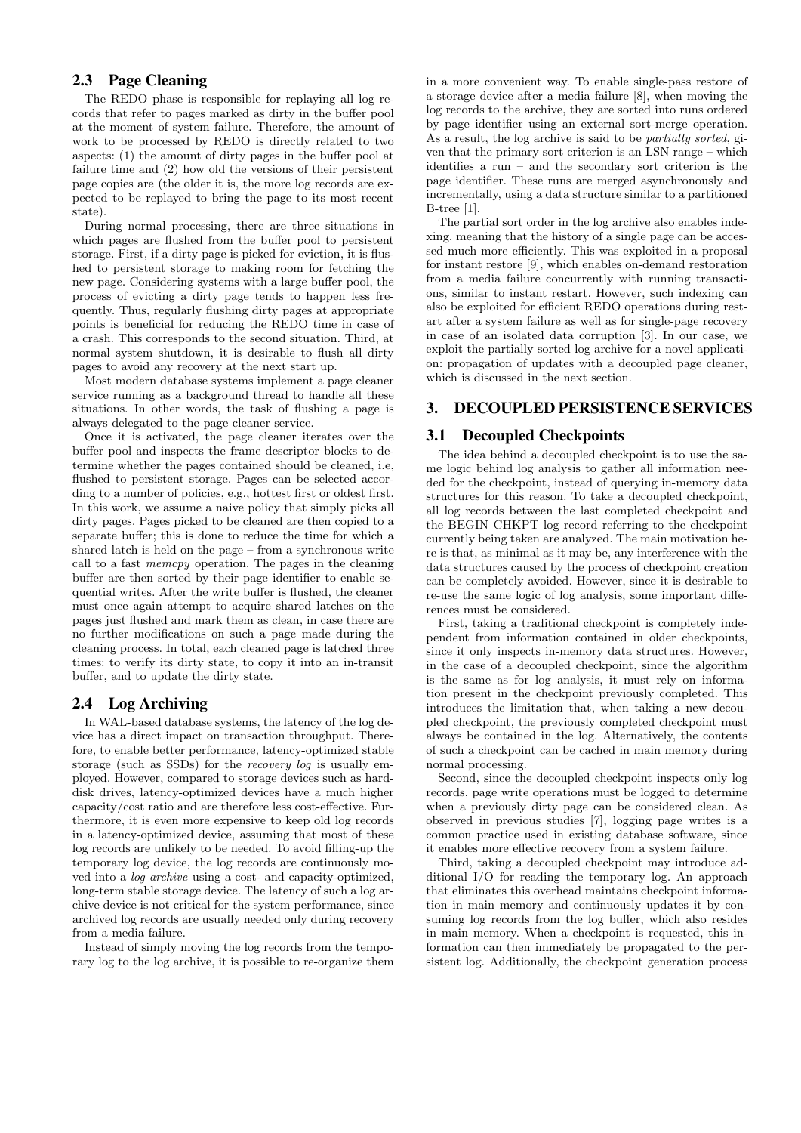#### 2.3 Page Cleaning

The REDO phase is responsible for replaying all log records that refer to pages marked as dirty in the buffer pool at the moment of system failure. Therefore, the amount of work to be processed by REDO is directly related to two aspects: (1) the amount of dirty pages in the buffer pool at failure time and (2) how old the versions of their persistent page copies are (the older it is, the more log records are expected to be replayed to bring the page to its most recent state).

During normal processing, there are three situations in which pages are flushed from the buffer pool to persistent storage. First, if a dirty page is picked for eviction, it is flushed to persistent storage to making room for fetching the new page. Considering systems with a large buffer pool, the process of evicting a dirty page tends to happen less frequently. Thus, regularly flushing dirty pages at appropriate points is beneficial for reducing the REDO time in case of a crash. This corresponds to the second situation. Third, at normal system shutdown, it is desirable to flush all dirty pages to avoid any recovery at the next start up.

Most modern database systems implement a page cleaner service running as a background thread to handle all these situations. In other words, the task of flushing a page is always delegated to the page cleaner service.

Once it is activated, the page cleaner iterates over the buffer pool and inspects the frame descriptor blocks to determine whether the pages contained should be cleaned, i.e, flushed to persistent storage. Pages can be selected according to a number of policies, e.g., hottest first or oldest first. In this work, we assume a naive policy that simply picks all dirty pages. Pages picked to be cleaned are then copied to a separate buffer; this is done to reduce the time for which a shared latch is held on the page – from a synchronous write call to a fast memcpy operation. The pages in the cleaning buffer are then sorted by their page identifier to enable sequential writes. After the write buffer is flushed, the cleaner must once again attempt to acquire shared latches on the pages just flushed and mark them as clean, in case there are no further modifications on such a page made during the cleaning process. In total, each cleaned page is latched three times: to verify its dirty state, to copy it into an in-transit buffer, and to update the dirty state.

#### 2.4 Log Archiving

In WAL-based database systems, the latency of the log device has a direct impact on transaction throughput. Therefore, to enable better performance, latency-optimized stable storage (such as SSDs) for the recovery log is usually employed. However, compared to storage devices such as harddisk drives, latency-optimized devices have a much higher capacity/cost ratio and are therefore less cost-effective. Furthermore, it is even more expensive to keep old log records in a latency-optimized device, assuming that most of these log records are unlikely to be needed. To avoid filling-up the temporary log device, the log records are continuously moved into a log archive using a cost- and capacity-optimized, long-term stable storage device. The latency of such a log archive device is not critical for the system performance, since archived log records are usually needed only during recovery from a media failure.

Instead of simply moving the log records from the temporary log to the log archive, it is possible to re-organize them in a more convenient way. To enable single-pass restore of a storage device after a media failure [8], when moving the log records to the archive, they are sorted into runs ordered by page identifier using an external sort-merge operation. As a result, the log archive is said to be partially sorted, given that the primary sort criterion is an LSN range – which identifies a run – and the secondary sort criterion is the page identifier. These runs are merged asynchronously and incrementally, using a data structure similar to a partitioned B-tree [1].

The partial sort order in the log archive also enables indexing, meaning that the history of a single page can be accessed much more efficiently. This was exploited in a proposal for instant restore [9], which enables on-demand restoration from a media failure concurrently with running transactions, similar to instant restart. However, such indexing can also be exploited for efficient REDO operations during restart after a system failure as well as for single-page recovery in case of an isolated data corruption [3]. In our case, we exploit the partially sorted log archive for a novel application: propagation of updates with a decoupled page cleaner, which is discussed in the next section.

# 3. DECOUPLED PERSISTENCE SERVICES

## 3.1 Decoupled Checkpoints

The idea behind a decoupled checkpoint is to use the same logic behind log analysis to gather all information needed for the checkpoint, instead of querying in-memory data structures for this reason. To take a decoupled checkpoint, all log records between the last completed checkpoint and the BEGIN CHKPT log record referring to the checkpoint currently being taken are analyzed. The main motivation here is that, as minimal as it may be, any interference with the data structures caused by the process of checkpoint creation can be completely avoided. However, since it is desirable to re-use the same logic of log analysis, some important differences must be considered.

First, taking a traditional checkpoint is completely independent from information contained in older checkpoints, since it only inspects in-memory data structures. However, in the case of a decoupled checkpoint, since the algorithm is the same as for log analysis, it must rely on information present in the checkpoint previously completed. This introduces the limitation that, when taking a new decoupled checkpoint, the previously completed checkpoint must always be contained in the log. Alternatively, the contents of such a checkpoint can be cached in main memory during normal processing.

Second, since the decoupled checkpoint inspects only log records, page write operations must be logged to determine when a previously dirty page can be considered clean. As observed in previous studies [7], logging page writes is a common practice used in existing database software, since it enables more effective recovery from a system failure.

Third, taking a decoupled checkpoint may introduce additional I/O for reading the temporary log. An approach that eliminates this overhead maintains checkpoint information in main memory and continuously updates it by consuming log records from the log buffer, which also resides in main memory. When a checkpoint is requested, this information can then immediately be propagated to the persistent log. Additionally, the checkpoint generation process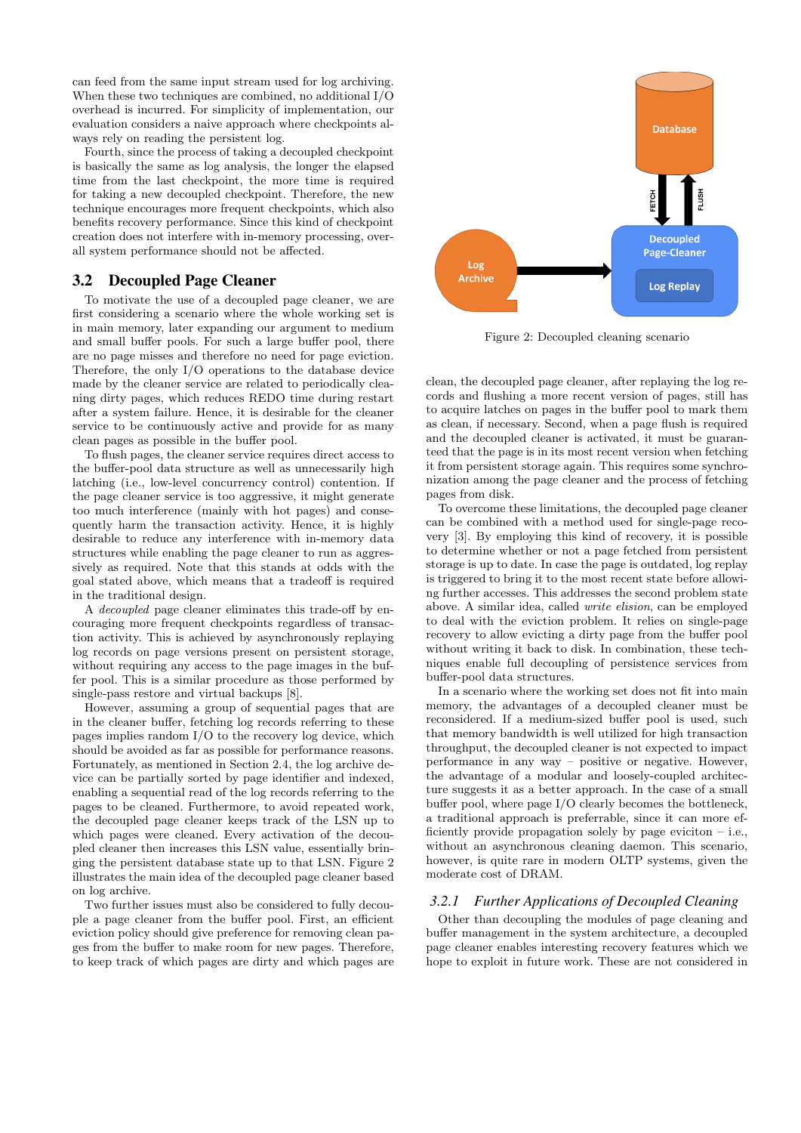can feed from the same input stream used for log archiving. When these two techniques are combined, no additional I/O overhead is incurred. For simplicity of implementation, our evaluation considers a naive approach where checkpoints always rely on reading the persistent log.

Fourth, since the process of taking a decoupled checkpoint is basically the same as log analysis, the longer the elapsed time from the last checkpoint, the more time is required for taking a new decoupled checkpoint. Therefore, the new technique encourages more frequent checkpoints, which also benefits recovery performance. Since this kind of checkpoint creation does not interfere with in-memory processing, overall system performance should not be affected.

# 3.2 Decoupled Page Cleaner

To motivate the use of a decoupled page cleaner, we are first considering a scenario where the whole working set is in main memory, later expanding our argument to medium and small buffer pools. For such a large buffer pool, there are no page misses and therefore no need for page eviction. Therefore, the only I/O operations to the database device made by the cleaner service are related to periodically cleaning dirty pages, which reduces REDO time during restart after a system failure. Hence, it is desirable for the cleaner service to be continuously active and provide for as many clean pages as possible in the buffer pool.

To flush pages, the cleaner service requires direct access to the buffer-pool data structure as well as unnecessarily high latching (i.e., low-level concurrency control) contention. If the page cleaner service is too aggressive, it might generate too much interference (mainly with hot pages) and consequently harm the transaction activity. Hence, it is highly desirable to reduce any interference with in-memory data structures while enabling the page cleaner to run as aggressively as required. Note that this stands at odds with the goal stated above, which means that a tradeoff is required in the traditional design.

A decoupled page cleaner eliminates this trade-off by encouraging more frequent checkpoints regardless of transaction activity. This is achieved by asynchronously replaying log records on page versions present on persistent storage, without requiring any access to the page images in the buffer pool. This is a similar procedure as those performed by single-pass restore and virtual backups [8].

However, assuming a group of sequential pages that are in the cleaner buffer, fetching log records referring to these pages implies random I/O to the recovery log device, which should be avoided as far as possible for performance reasons. Fortunately, as mentioned in Section 2.4, the log archive device can be partially sorted by page identifier and indexed, enabling a sequential read of the log records referring to the pages to be cleaned. Furthermore, to avoid repeated work, the decoupled page cleaner keeps track of the LSN up to which pages were cleaned. Every activation of the decoupled cleaner then increases this LSN value, essentially bringing the persistent database state up to that LSN. Figure 2 illustrates the main idea of the decoupled page cleaner based on log archive.

Two further issues must also be considered to fully decouple a page cleaner from the buffer pool. First, an efficient eviction policy should give preference for removing clean pages from the buffer to make room for new pages. Therefore, to keep track of which pages are dirty and which pages are



Figure 2: Decoupled cleaning scenario

clean, the decoupled page cleaner, after replaying the log records and flushing a more recent version of pages, still has to acquire latches on pages in the buffer pool to mark them as clean, if necessary. Second, when a page flush is required and the decoupled cleaner is activated, it must be guaranteed that the page is in its most recent version when fetching it from persistent storage again. This requires some synchronization among the page cleaner and the process of fetching pages from disk.

To overcome these limitations, the decoupled page cleaner can be combined with a method used for single-page recovery [3]. By employing this kind of recovery, it is possible to determine whether or not a page fetched from persistent storage is up to date. In case the page is outdated, log replay is triggered to bring it to the most recent state before allowing further accesses. This addresses the second problem state above. A similar idea, called write elision, can be employed to deal with the eviction problem. It relies on single-page recovery to allow evicting a dirty page from the buffer pool without writing it back to disk. In combination, these techniques enable full decoupling of persistence services from buffer-pool data structures.

In a scenario where the working set does not fit into main memory, the advantages of a decoupled cleaner must be reconsidered. If a medium-sized buffer pool is used, such that memory bandwidth is well utilized for high transaction throughput, the decoupled cleaner is not expected to impact performance in any way – positive or negative. However, the advantage of a modular and loosely-coupled architecture suggests it as a better approach. In the case of a small buffer pool, where page I/O clearly becomes the bottleneck, a traditional approach is preferrable, since it can more efficiently provide propagation solely by page eviciton – i.e., without an asynchronous cleaning daemon. This scenario, however, is quite rare in modern OLTP systems, given the moderate cost of DRAM.

#### *3.2.1 Further Applications of Decoupled Cleaning*

Other than decoupling the modules of page cleaning and buffer management in the system architecture, a decoupled page cleaner enables interesting recovery features which we hope to exploit in future work. These are not considered in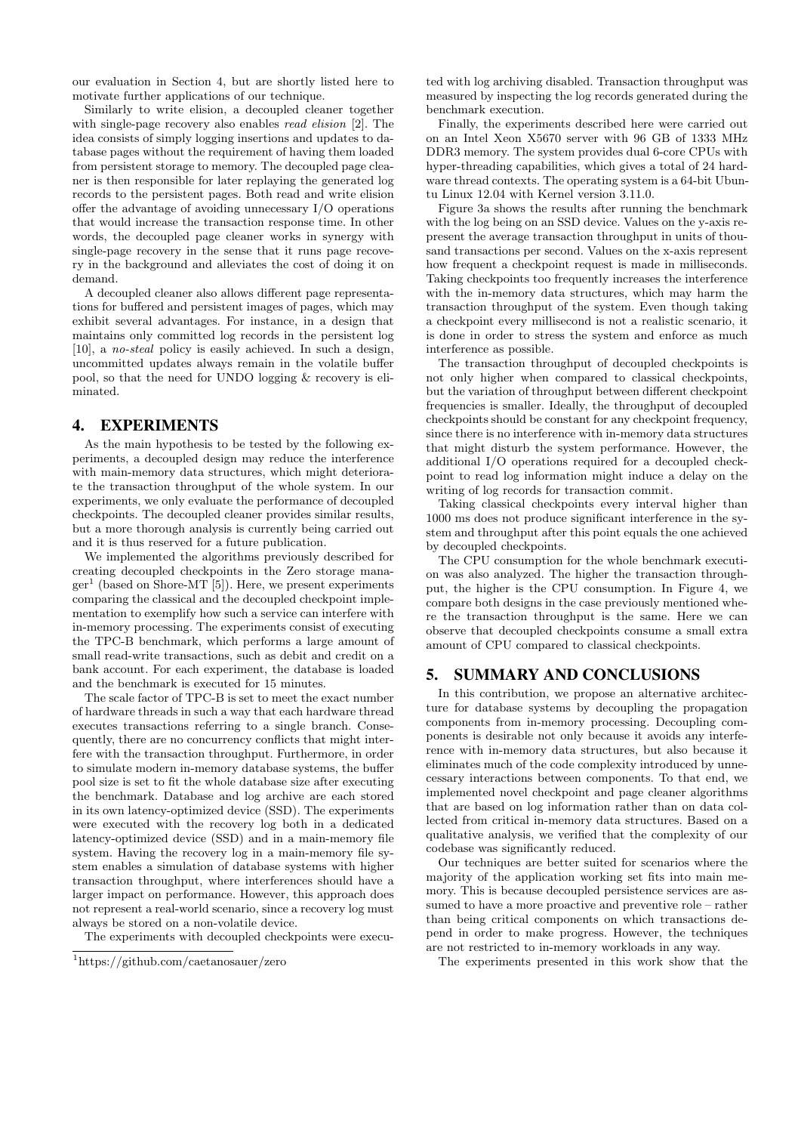our evaluation in Section 4, but are shortly listed here to motivate further applications of our technique.

Similarly to write elision, a decoupled cleaner together with single-page recovery also enables read elision [2]. The idea consists of simply logging insertions and updates to database pages without the requirement of having them loaded from persistent storage to memory. The decoupled page cleaner is then responsible for later replaying the generated log records to the persistent pages. Both read and write elision offer the advantage of avoiding unnecessary I/O operations that would increase the transaction response time. In other words, the decoupled page cleaner works in synergy with single-page recovery in the sense that it runs page recovery in the background and alleviates the cost of doing it on demand.

A decoupled cleaner also allows different page representations for buffered and persistent images of pages, which may exhibit several advantages. For instance, in a design that maintains only committed log records in the persistent log [10], a no-steal policy is easily achieved. In such a design, uncommitted updates always remain in the volatile buffer pool, so that the need for UNDO logging & recovery is eliminated.

## 4. EXPERIMENTS

As the main hypothesis to be tested by the following experiments, a decoupled design may reduce the interference with main-memory data structures, which might deteriorate the transaction throughput of the whole system. In our experiments, we only evaluate the performance of decoupled checkpoints. The decoupled cleaner provides similar results, but a more thorough analysis is currently being carried out and it is thus reserved for a future publication.

We implemented the algorithms previously described for creating decoupled checkpoints in the Zero storage manager<sup>1</sup> (based on Shore-MT [5]). Here, we present experiments comparing the classical and the decoupled checkpoint implementation to exemplify how such a service can interfere with in-memory processing. The experiments consist of executing the TPC-B benchmark, which performs a large amount of small read-write transactions, such as debit and credit on a bank account. For each experiment, the database is loaded and the benchmark is executed for 15 minutes.

The scale factor of TPC-B is set to meet the exact number of hardware threads in such a way that each hardware thread executes transactions referring to a single branch. Consequently, there are no concurrency conflicts that might interfere with the transaction throughput. Furthermore, in order to simulate modern in-memory database systems, the buffer pool size is set to fit the whole database size after executing the benchmark. Database and log archive are each stored in its own latency-optimized device (SSD). The experiments were executed with the recovery log both in a dedicated latency-optimized device (SSD) and in a main-memory file system. Having the recovery log in a main-memory file system enables a simulation of database systems with higher transaction throughput, where interferences should have a larger impact on performance. However, this approach does not represent a real-world scenario, since a recovery log must always be stored on a non-volatile device.

The experiments with decoupled checkpoints were execu-

ted with log archiving disabled. Transaction throughput was measured by inspecting the log records generated during the benchmark execution.

Finally, the experiments described here were carried out on an Intel Xeon X5670 server with 96 GB of 1333 MHz DDR3 memory. The system provides dual 6-core CPUs with hyper-threading capabilities, which gives a total of 24 hardware thread contexts. The operating system is a 64-bit Ubuntu Linux 12.04 with Kernel version 3.11.0.

Figure 3a shows the results after running the benchmark with the log being on an SSD device. Values on the y-axis represent the average transaction throughput in units of thousand transactions per second. Values on the x-axis represent how frequent a checkpoint request is made in milliseconds. Taking checkpoints too frequently increases the interference with the in-memory data structures, which may harm the transaction throughput of the system. Even though taking a checkpoint every millisecond is not a realistic scenario, it is done in order to stress the system and enforce as much interference as possible.

The transaction throughput of decoupled checkpoints is not only higher when compared to classical checkpoints, but the variation of throughput between different checkpoint frequencies is smaller. Ideally, the throughput of decoupled checkpoints should be constant for any checkpoint frequency, since there is no interference with in-memory data structures that might disturb the system performance. However, the additional I/O operations required for a decoupled checkpoint to read log information might induce a delay on the writing of log records for transaction commit.

Taking classical checkpoints every interval higher than 1000 ms does not produce significant interference in the system and throughput after this point equals the one achieved by decoupled checkpoints.

The CPU consumption for the whole benchmark execution was also analyzed. The higher the transaction throughput, the higher is the CPU consumption. In Figure 4, we compare both designs in the case previously mentioned where the transaction throughput is the same. Here we can observe that decoupled checkpoints consume a small extra amount of CPU compared to classical checkpoints.

### 5. SUMMARY AND CONCLUSIONS

In this contribution, we propose an alternative architecture for database systems by decoupling the propagation components from in-memory processing. Decoupling components is desirable not only because it avoids any interference with in-memory data structures, but also because it eliminates much of the code complexity introduced by unnecessary interactions between components. To that end, we implemented novel checkpoint and page cleaner algorithms that are based on log information rather than on data collected from critical in-memory data structures. Based on a qualitative analysis, we verified that the complexity of our codebase was significantly reduced.

Our techniques are better suited for scenarios where the majority of the application working set fits into main memory. This is because decoupled persistence services are assumed to have a more proactive and preventive role – rather than being critical components on which transactions depend in order to make progress. However, the techniques are not restricted to in-memory workloads in any way.

The experiments presented in this work show that the

<sup>1</sup>https://github.com/caetanosauer/zero